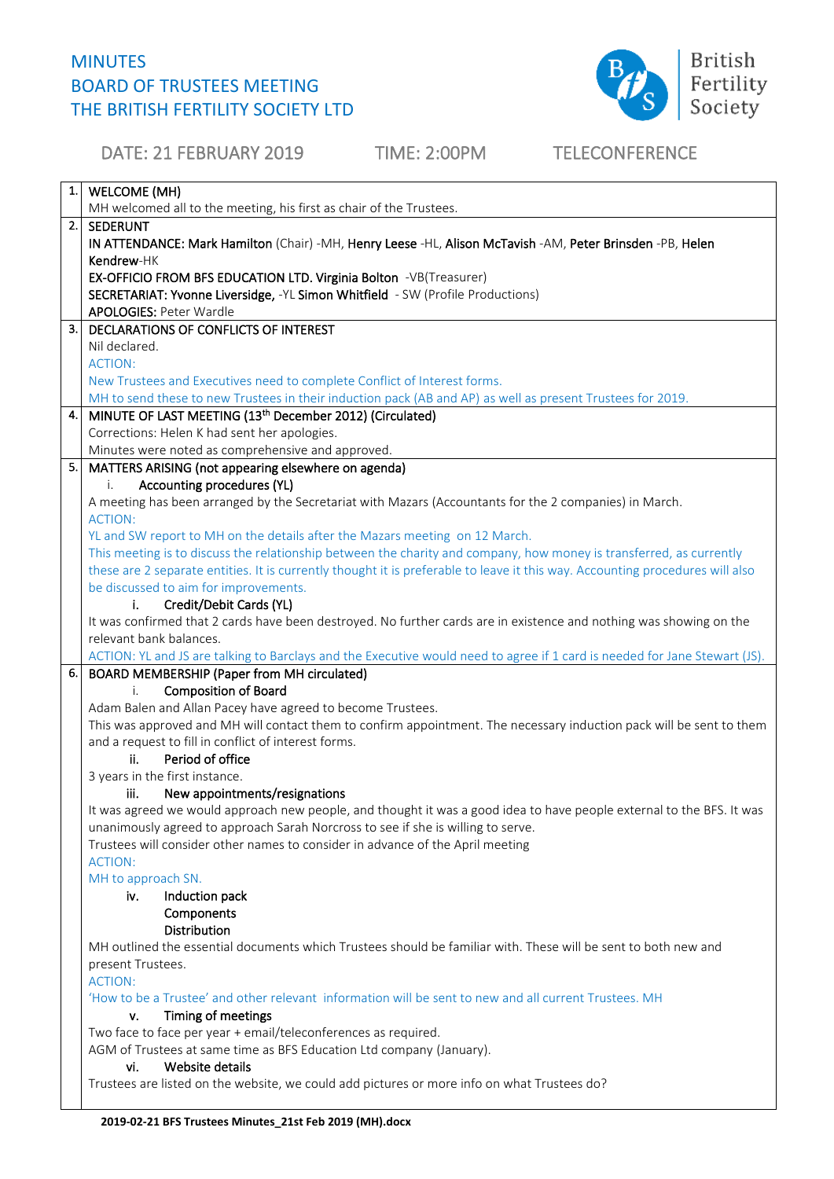## MINUTES BOARD OF TRUSTEES MEETING THE BRITISH FERTILITY SOCIETY LTD



DATE: 21 FEBRUARY 2019 TIME: 2:00PM TELECONFERENCE 1. WELCOME (MH) MH welcomed all to the meeting, his first as chair of the Trustees. 2. SEDERUNT IN ATTENDANCE: Mark Hamilton (Chair) -MH, Henry Leese -HL, Alison McTavish -AM, Peter Brinsden -PB, Helen Kendrew-HK EX-OFFICIO FROM BFS EDUCATION LTD. Virginia Bolton -VB(Treasurer) SECRETARIAT: Yvonne Liversidge, -YL Simon Whitfield - SW (Profile Productions) APOLOGIES: Peter Wardle 3. DECLARATIONS OF CONFLICTS OF INTEREST Nil declared. ACTION: New Trustees and Executives need to complete Conflict of Interest forms. MH to send these to new Trustees in their induction pack (AB and AP) as well as present Trustees for 2019. 4. MINUTE OF LAST MEETING (13<sup>th</sup> December 2012) (Circulated) Corrections: Helen K had sent her apologies. Minutes were noted as comprehensive and approved. 5. MATTERS ARISING (not appearing elsewhere on agenda) i. Accounting procedures (YL) A meeting has been arranged by the Secretariat with Mazars (Accountants for the 2 companies) in March. ACTION: YL and SW report to MH on the details after the Mazars meeting on 12 March. This meeting is to discuss the relationship between the charity and company, how money is transferred, as currently these are 2 separate entities. It is currently thought it is preferable to leave it this way. Accounting procedures will also be discussed to aim for improvements. i. Credit/Debit Cards (YL) It was confirmed that 2 cards have been destroyed. No further cards are in existence and nothing was showing on the relevant bank balances. ACTION: YL and JS are talking to Barclays and the Executive would need to agree if 1 card is needed for Jane Stewart (JS). 6. BOARD MEMBERSHIP (Paper from MH circulated) i. Composition of Board Adam Balen and Allan Pacey have agreed to become Trustees. This was approved and MH will contact them to confirm appointment. The necessary induction pack will be sent to them and a request to fill in conflict of interest forms. ii. Period of office 3 years in the first instance. iii. New appointments/resignations It was agreed we would approach new people, and thought it was a good idea to have people external to the BFS. It was unanimously agreed to approach Sarah Norcross to see if she is willing to serve. Trustees will consider other names to consider in advance of the April meeting ACTION: MH to approach SN. iv. Induction pack **Components** Distribution MH outlined the essential documents which Trustees should be familiar with. These will be sent to both new and present Trustees. ACTION: 'How to be a Trustee' and other relevant information will be sent to new and all current Trustees. MH v. Timing of meetings Two face to face per year + email/teleconferences as required. AGM of Trustees at same time as BFS Education Ltd company (January). vi. Website details Trustees are listed on the website, we could add pictures or more info on what Trustees do?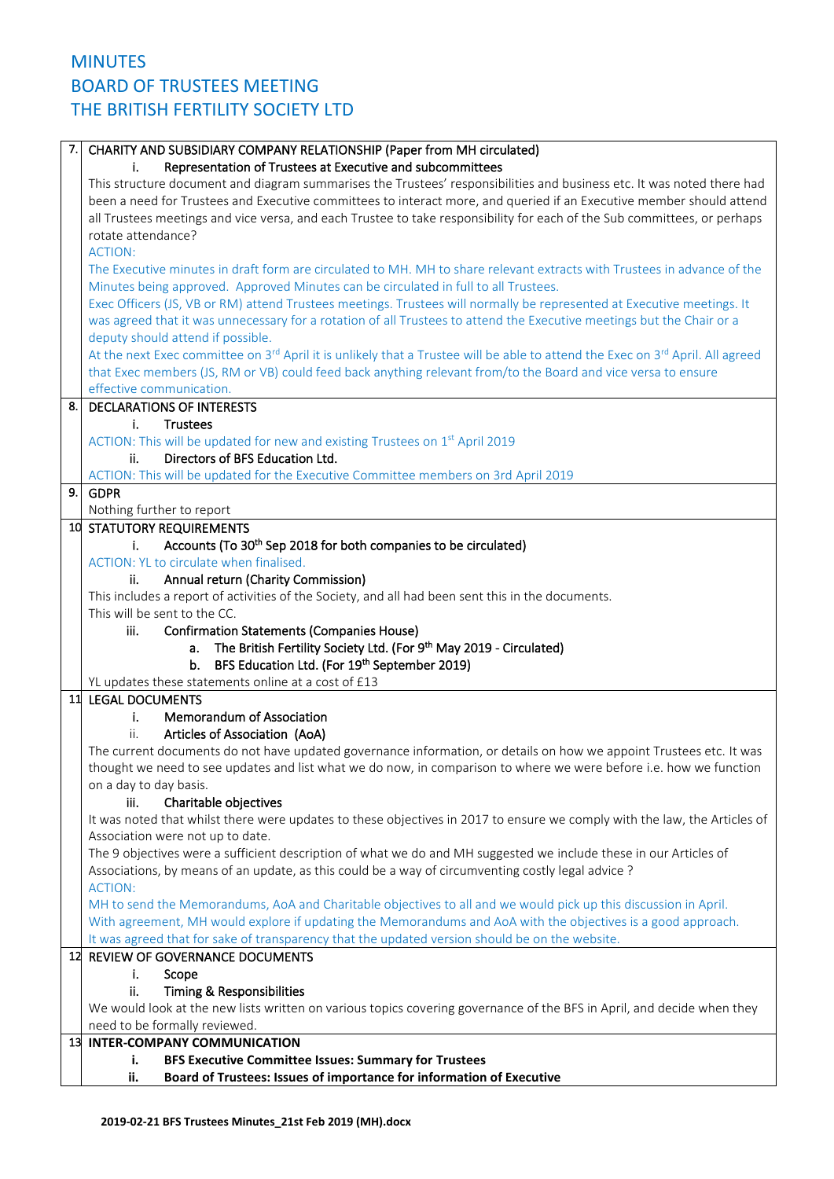## 7. CHARITY AND SUBSIDIARY COMPANY RELATIONSHIP (Paper from MH circulated) i. Representation of Trustees at Executive and subcommittees This structure document and diagram summarises the Trustees' responsibilities and business etc. It was noted there had been a need for Trustees and Executive committees to interact more, and queried if an Executive member should attend all Trustees meetings and vice versa, and each Trustee to take responsibility for each of the Sub committees, or perhaps rotate attendance? ACTION: The Executive minutes in draft form are circulated to MH. MH to share relevant extracts with Trustees in advance of the Minutes being approved. Approved Minutes can be circulated in full to all Trustees. Exec Officers (JS, VB or RM) attend Trustees meetings. Trustees will normally be represented at Executive meetings. It was agreed that it was unnecessary for a rotation of all Trustees to attend the Executive meetings but the Chair or a deputy should attend if possible. At the next Exec committee on 3<sup>rd</sup> April it is unlikely that a Trustee will be able to attend the Exec on 3<sup>rd</sup> April. All agreed that Exec members (JS, RM or VB) could feed back anything relevant from/to the Board and vice versa to ensure effective communication. 8. DECLARATIONS OF INTERESTS i. Trustees ACTION: This will be updated for new and existing Trustees on 1<sup>st</sup> April 2019 ii. Directors of BFS Education Ltd. ACTION: This will be updated for the Executive Committee members on 3rd April 2019 9. GDPR Nothing further to report 10 STATUTORY REQUIREMENTS i. Accounts (To 30<sup>th</sup> Sep 2018 for both companies to be circulated) ACTION: YL to circulate when finalised. ii. Annual return (Charity Commission) This includes a report of activities of the Society, and all had been sent this in the documents. This will be sent to the CC. iii. Confirmation Statements (Companies House) a. The British Fertility Society Ltd. (For 9<sup>th</sup> May 2019 - Circulated) b. BFS Education Ltd. (For 19<sup>th</sup> September 2019) YL updates these statements online at a cost of £13 11 LEGAL DOCUMENTS i. Memorandum of Association ii. Articles of Association (AoA) The current documents do not have updated governance information, or details on how we appoint Trustees etc. It was thought we need to see updates and list what we do now, in comparison to where we were before i.e. how we function on a day to day basis. iii. Charitable objectives It was noted that whilst there were updates to these objectives in 2017 to ensure we comply with the law, the Articles of Association were not up to date. The 9 objectives were a sufficient description of what we do and MH suggested we include these in our Articles of Associations, by means of an update, as this could be a way of circumventing costly legal advice ? ACTION: MH to send the Memorandums, AoA and Charitable objectives to all and we would pick up this discussion in April. With agreement, MH would explore if updating the Memorandums and AoA with the objectives is a good approach. It was agreed that for sake of transparency that the updated version should be on the website. 12 REVIEW OF GOVERNANCE DOCUMENTS i. Scope ii. Timing & Responsibilities We would look at the new lists written on various topics covering governance of the BFS in April, and decide when they need to be formally reviewed. 13. **INTER -COMPANY COMMUNICATION i. BFS Executive Committee Issues: Summary for Trustees ii. Board of Trustees: Issues of importance for information of Executive**